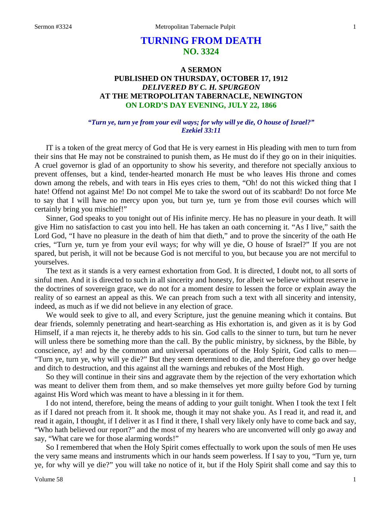# **TURNING FROM DEATH NO. 3324**

## **A SERMON PUBLISHED ON THURSDAY, OCTOBER 17, 1912** *DELIVERED BY C. H. SPURGEON* **AT THE METROPOLITAN TABERNACLE, NEWINGTON ON LORD'S DAY EVENING, JULY 22, 1866**

## *"Turn ye, turn ye from your evil ways; for why will ye die, O house of Israel?" Ezekiel 33:11*

IT is a token of the great mercy of God that He is very earnest in His pleading with men to turn from their sins that He may not be constrained to punish them, as He must do if they go on in their iniquities. A cruel governor is glad of an opportunity to show his severity, and therefore not specially anxious to prevent offenses, but a kind, tender-hearted monarch He must be who leaves His throne and comes down among the rebels, and with tears in His eyes cries to them, "Oh! do not this wicked thing that I hate! Offend not against Me! Do not compel Me to take the sword out of its scabbard! Do not force Me to say that I will have no mercy upon you, but turn ye, turn ye from those evil courses which will certainly bring you mischief!"

Sinner, God speaks to you tonight out of His infinite mercy. He has no pleasure in your death. It will give Him no satisfaction to cast you into hell. He has taken an oath concerning it. "As I live," saith the Lord God, "I have no pleasure in the death of him that dieth," and to prove the sincerity of the oath He cries, "Turn ye, turn ye from your evil ways; for why will ye die, O house of Israel?" If you are not spared, but perish, it will not be because God is not merciful to you, but because you are not merciful to yourselves.

The text as it stands is a very earnest exhortation from God. It is directed, I doubt not, to all sorts of sinful men. And it is directed to such in all sincerity and honesty, for albeit we believe without reserve in the doctrines of sovereign grace, we do not for a moment desire to lessen the force or explain away the reality of so earnest an appeal as this. We can preach from such a text with all sincerity and intensity, indeed, as much as if we did not believe in any election of grace.

We would seek to give to all, and every Scripture, just the genuine meaning which it contains. But dear friends, solemnly penetrating and heart-searching as His exhortation is, and given as it is by God Himself, if a man rejects it, he thereby adds to his sin. God calls to the sinner to turn, but turn he never will unless there be something more than the call. By the public ministry, by sickness, by the Bible, by conscience, ay! and by the common and universal operations of the Holy Spirit, God calls to men— "Turn ye, turn ye, why will ye die?" But they seem determined to die, and therefore they go over hedge and ditch to destruction, and this against all the warnings and rebukes of the Most High.

So they will continue in their sins and aggravate them by the rejection of the very exhortation which was meant to deliver them from them, and so make themselves yet more guilty before God by turning against His Word which was meant to have a blessing in it for them.

I do not intend, therefore, being the means of adding to your guilt tonight. When I took the text I felt as if I dared not preach from it. It shook me, though it may not shake you. As I read it, and read it, and read it again, I thought, if I deliver it as I find it there, I shall very likely only have to come back and say, "Who hath believed our report?" and the most of my hearers who are unconverted will only go away and say, "What care we for those alarming words!"

So I remembered that when the Holy Spirit comes effectually to work upon the souls of men He uses the very same means and instruments which in our hands seem powerless. If I say to you, "Turn ye, turn ye, for why will ye die?" you will take no notice of it, but if the Holy Spirit shall come and say this to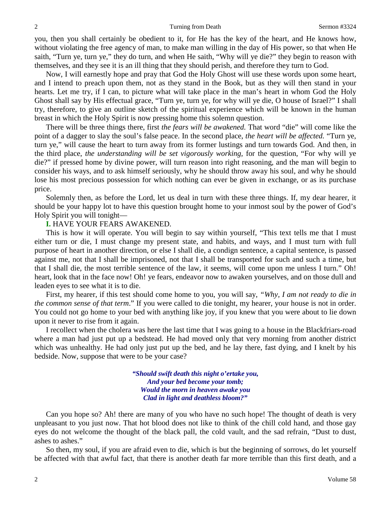you, then you shall certainly be obedient to it, for He has the key of the heart, and He knows how, without violating the free agency of man, to make man willing in the day of His power, so that when He saith, "Turn ye, turn ye," they do turn, and when He saith, "Why will ye die?" they begin to reason with themselves, and they see it is an ill thing that they should perish, and therefore they turn to God.

Now, I will earnestly hope and pray that God the Holy Ghost will use these words upon some heart, and I intend to preach upon them, not as they stand in the Book, but as they will then stand in your hearts. Let me try, if I can, to picture what will take place in the man's heart in whom God the Holy Ghost shall say by His effectual grace, "Turn ye, turn ye, for why will ye die, O house of Israel?" I shall try, therefore, to give an outline sketch of the spiritual experience which will be known in the human breast in which the Holy Spirit is now pressing home this solemn question.

There will be three things there, first *the fears will be awakened.* That word "die" will come like the point of a dagger to slay the soul's false peace. In the second place, *the heart will be affected.* "Turn ye, turn ye," will cause the heart to turn away from its former lustings and turn towards God. And then, in the third place, *the understanding will be set vigorously working,* for the question, "For why will ye die?" if pressed home by divine power, will turn reason into right reasoning, and the man will begin to consider his ways, and to ask himself seriously, why he should throw away his soul, and why he should lose his most precious possession for which nothing can ever be given in exchange, or as its purchase price.

Solemnly then, as before the Lord, let us deal in turn with these three things. If, my dear hearer, it should be your happy lot to have this question brought home to your inmost soul by the power of God's Holy Spirit you will tonight—

## **I.** HAVE YOUR FEARS AWAKENED.

This is how it will operate. You will begin to say within yourself, "This text tells me that I must either turn or die, I must change my present state, and habits, and ways, and I must turn with full purpose of heart in another direction, or else I shall die, a condign sentence, a capital sentence, is passed against me, not that I shall be imprisoned, not that I shall be transported for such and such a time, but that I shall die, the most terrible sentence of the law, it seems, will come upon me unless I turn." Oh! heart, look that in the face now! Oh! ye fears, endeavor now to awaken yourselves, and on those dull and leaden eyes to see what it is to die.

First, my hearer, if this test should come home to you, you will say, *"Why, I am not ready to die in the common sense of that term*." If you were called to die tonight, my hearer, your house is not in order. You could not go home to your bed with anything like joy, if you knew that you were about to lie down upon it never to rise from it again.

I recollect when the cholera was here the last time that I was going to a house in the Blackfriars-road where a man had just put up a bedstead. He had moved only that very morning from another district which was unhealthy. He had only just put up the bed, and he lay there, fast dying, and I knelt by his bedside. Now, suppose that were to be your case?

> *"Should swift death this night o'ertake you, And your bed become your tomb; Would the morn in heaven awake you Clad in light and deathless bloom?"*

Can you hope so? Ah! there are many of you who have no such hope! The thought of death is very unpleasant to you just now. That hot blood does not like to think of the chill cold hand, and those gay eyes do not welcome the thought of the black pall, the cold vault, and the sad refrain, "Dust to dust, ashes to ashes."

So then, my soul, if you are afraid even to die, which is but the beginning of sorrows, do let yourself be affected with that awful fact, that there is another death far more terrible than this first death, and a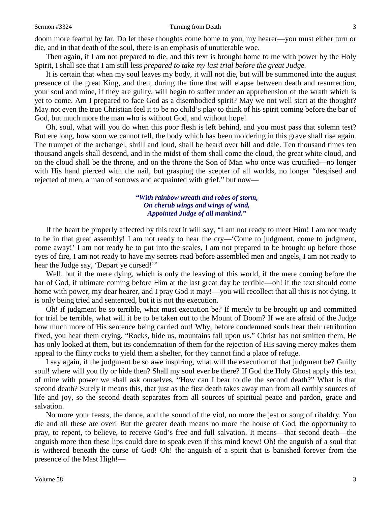doom more fearful by far. Do let these thoughts come home to you, my hearer—you must either turn or die, and in that death of the soul, there is an emphasis of unutterable woe.

Then again, if I am not prepared to die, and this text is brought home to me with power by the Holy Spirit, I shall see that I am still less *prepared to take my last trial before the great Judge.* 

It is certain that when my soul leaves my body, it will not die, but will be summoned into the august presence of the great King, and then, during the time that will elapse between death and resurrection, your soul and mine, if they are guilty, will begin to suffer under an apprehension of the wrath which is yet to come. Am I prepared to face God as a disembodied spirit? May we not well start at the thought? May not even the true Christian feel it to be no child's play to think of his spirit coming before the bar of God, but much more the man who is without God, and without hope!

Oh, soul, what will you do when this poor flesh is left behind, and you must pass that solemn test? But ere long, how soon we cannot tell, the body which has been moldering in this grave shall rise again. The trumpet of the archangel, shrill and loud, shall be heard over hill and dale. Ten thousand times ten thousand angels shall descend, and in the midst of them shall come the cloud, the great white cloud, and on the cloud shall be the throne, and on the throne the Son of Man who once was crucified—no longer with His hand pierced with the nail, but grasping the scepter of all worlds, no longer "despised and rejected of men, a man of sorrows and acquainted with grief," but now—

## *"With rainbow wreath and robes of storm, On cherub wings and wings of wind, Appointed Judge of all mankind."*

If the heart be properly affected by this text it will say, "I am not ready to meet Him! I am not ready to be in that great assembly! I am not ready to hear the cry—'Come to judgment, come to judgment, come away!' I am not ready be to put into the scales, I am not prepared to be brought up before those eyes of fire, I am not ready to have my secrets read before assembled men and angels, I am not ready to hear the Judge say, 'Depart ye cursed!'"

Well, but if the mere dying, which is only the leaving of this world, if the mere coming before the bar of God, if ultimate coming before Him at the last great day be terrible—oh! if the text should come home with power, my dear hearer, and I pray God it may!—you will recollect that all this is not dying. It is only being tried and sentenced, but it is not the execution.

Oh! if judgment be so terrible, what must execution be? If merely to be brought up and committed for trial be terrible, what will it be to be taken out to the Mount of Doom? If we are afraid of the Judge how much more of His sentence being carried out! Why, before condemned souls hear their retribution fixed, you hear them crying, "Rocks, hide us, mountains fall upon us." Christ has not smitten them, He has only looked at them, but its condemnation of them for the rejection of His saving mercy makes them appeal to the flinty rocks to yield them a shelter, for they cannot find a place of refuge.

I say again, if the judgment be so awe inspiring, what will the execution of that judgment be? Guilty soul! where will you fly or hide then? Shall my soul ever be there? If God the Holy Ghost apply this text of mine with power we shall ask ourselves, "How can I bear to die the second death?" What is that second death? Surely it means this, that just as the first death takes away man from all earthly sources of life and joy, so the second death separates from all sources of spiritual peace and pardon, grace and salvation.

No more your feasts, the dance, and the sound of the viol, no more the jest or song of ribaldry. You die and all these are over! But the greater death means no more the house of God, the opportunity to pray, to repent, to believe, to receive God's free and full salvation. It means—that second death—the anguish more than these lips could dare to speak even if this mind knew! Oh! the anguish of a soul that is withered beneath the curse of God! Oh! the anguish of a spirit that is banished forever from the presence of the Mast High!—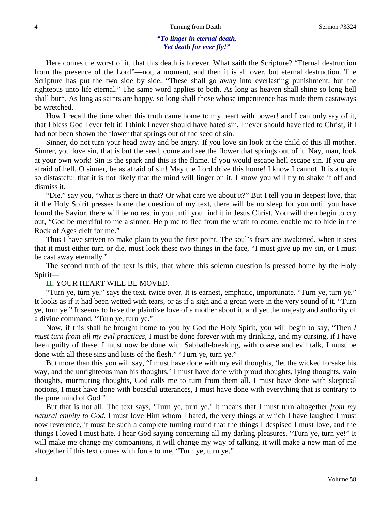### *"To linger in eternal death, Yet death for ever fly!"*

Here comes the worst of it, that this death is forever. What saith the Scripture? "Eternal destruction from the presence of the Lord"—not, a moment, and then it is all over, but eternal destruction. The Scripture has put the two side by side, "These shall go away into everlasting punishment, but the righteous unto life eternal." The same word applies to both. As long as heaven shall shine so long hell shall burn. As long as saints are happy, so long shall those whose impenitence has made them castaways be wretched.

How I recall the time when this truth came home to my heart with power! and I can only say of it, that I bless God I ever felt it! I think I never should have hated sin, I never should have fled to Christ, if I had not been shown the flower that springs out of the seed of sin.

Sinner, do not turn your head away and be angry. If you love sin look at the child of this ill mother. Sinner, you love sin, that is but the seed, come and see the flower that springs out of it. Nay, man, look at your own work! Sin is the spark and this is the flame. If you would escape hell escape sin. If you are afraid of hell, O sinner, be as afraid of sin! May the Lord drive this home! I know I cannot. It is a topic so distasteful that it is not likely that the mind will linger on it. I know you will try to shake it off and dismiss it.

"Die," say you, "what is there in that? Or what care we about it?" But I tell you in deepest love, that if the Holy Spirit presses home the question of my text, there will be no sleep for you until you have found the Savior, there will be no rest in you until you find it in Jesus Christ. You will then begin to cry out, "God be merciful to me a sinner. Help me to flee from the wrath to come, enable me to hide in the Rock of Ages cleft for me."

Thus I have striven to make plain to you the first point. The soul's fears are awakened, when it sees that it must either turn or die, must look these two things in the face, "I must give up my sin, or I must be cast away eternally."

The second truth of the text is this, that where this solemn question is pressed home by the Holy Spirit—

### **II.** YOUR HEART WILL BE MOVED.

"Turn ye, turn ye," says the text, twice over. It is earnest, emphatic, importunate. "Turn ye, turn ye." It looks as if it had been wetted with tears, or as if a sigh and a groan were in the very sound of it. "Turn ye, turn ye." It seems to have the plaintive love of a mother about it, and yet the majesty and authority of a divine command, "Turn ye, turn ye."

Now, if this shall be brought home to you by God the Holy Spirit, you will begin to say, "Then *I must turn from all my evil practices,* I must be done forever with my drinking, and my cursing, if I have been guilty of these. I must now be done with Sabbath-breaking, with coarse and evil talk, I must be done with all these sins and lusts of the flesh." "Turn ye, turn ye."

But more than this you will say, "I must have done with my evil thoughts, 'let the wicked forsake his way, and the unrighteous man his thoughts,' I must have done with proud thoughts, lying thoughts, vain thoughts, murmuring thoughts, God calls me to turn from them all. I must have done with skeptical notions, I must have done with boastful utterances, I must have done with everything that is contrary to the pure mind of God."

But that is not all. The text says, 'Turn ye, turn ye.' It means that I must turn altogether *from my natural enmity to God.* I must love Him whom I hated, the very things at which I have laughed I must now reverence, it must be such a complete turning round that the things I despised I must love, and the things I loved I must hate. I hear God saying concerning all my darling pleasures, "Turn ye, turn ye!" It will make me change my companions, it will change my way of talking, it will make a new man of me altogether if this text comes with force to me, "Turn ye, turn ye."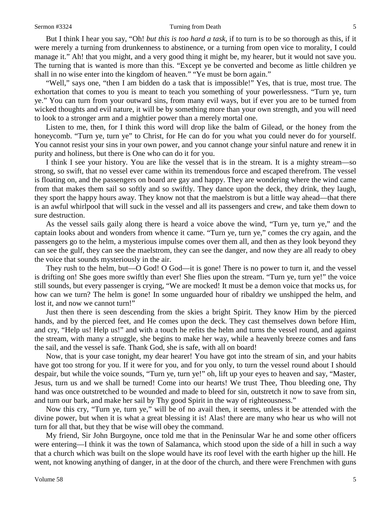#### Sermon #3324 Turning from Death 5

But I think I hear you say, "Oh! *but this is too hard a task,* if to turn is to be so thorough as this, if it were merely a turning from drunkenness to abstinence, or a turning from open vice to morality, I could manage it." Ah! that you might, and a very good thing it might be, my hearer, but it would not save you. The turning that is wanted is more than this. "Except ye be converted and become as little children ye shall in no wise enter into the kingdom of heaven." "Ye must be born again."

"Well," says one, "then I am bidden do a task that is impossible!" Yes, that is true, most true. The exhortation that comes to you is meant to teach you something of your powerlessness. "Turn ye, turn ye." You can turn from your outward sins, from many evil ways, but if ever you are to be turned from wicked thoughts and evil nature, it will be by something more than your own strength, and you will need to look to a stronger arm and a mightier power than a merely mortal one.

Listen to me, then, for I think this word will drop like the balm of Gilead, or the honey from the honeycomb. "Turn ye, turn ye" to Christ, for He can do for you what you could never do for yourself. You cannot resist your sins in your own power, and you cannot change your sinful nature and renew it in purity and holiness, but there is One who can do it for you.

I think I see your history. You are like the vessel that is in the stream. It is a mighty stream—so strong, so swift, that no vessel ever came within its tremendous force and escaped therefrom. The vessel is floating on, and the passengers on board are gay and happy. They are wondering where the wind came from that makes them sail so softly and so swiftly. They dance upon the deck, they drink, they laugh, they sport the happy hours away. They know not that the maelstrom is but a little way ahead—that there is an awful whirlpool that will suck in the vessel and all its passengers and crew, and take them down to sure destruction.

As the vessel sails gaily along there is heard a voice above the wind, "Turn ye, turn ye," and the captain looks about and wonders from whence it came. "Turn ye, turn ye," comes the cry again, and the passengers go to the helm, a mysterious impulse comes over them all, and then as they look beyond they can see the gulf, they can see the maelstrom, they can see the danger, and now they are all ready to obey the voice that sounds mysteriously in the air.

They rush to the helm, but—O God! O God—it is gone! There is no power to turn it, and the vessel is drifting on! She goes more swiftly than ever! She flies upon the stream. "Turn ye, turn ye!" the voice still sounds, but every passenger is crying, "We are mocked! It must be a demon voice that mocks us, for how can we turn? The helm is gone! In some unguarded hour of ribaldry we unshipped the helm, and lost it, and now we cannot turn!"

Just then there is seen descending from the skies a bright Spirit. They know Him by the pierced hands, and by the pierced feet, and He comes upon the deck. They cast themselves down before Him, and cry, "Help us! Help us!" and with a touch he refits the helm and turns the vessel round, and against the stream, with many a struggle, she begins to make her way, while a heavenly breeze comes and fans the sail, and the vessel is safe. Thank God, she is safe, with all on board!

Now, that is your case tonight, my dear hearer! You have got into the stream of sin, and your habits have got too strong for you. If it were for you, and for you only, to turn the vessel round about I should despair, but while the voice sounds, "Turn ye, turn ye!" oh, lift up your eyes to heaven and say, "Master, Jesus, turn us and we shall be turned! Come into our hearts! We trust Thee, Thou bleeding one, Thy hand was once outstretched to be wounded and made to bleed for sin, outstretch it now to save from sin, and turn our bark, and make her sail by Thy good Spirit in the way of righteousness."

Now this cry, "Turn ye, turn ye," will be of no avail then, it seems, unless it be attended with the divine power, but when it is what a great blessing it is! Alas! there are many who hear us who will not turn for all that, but they that be wise will obey the command.

My friend, Sir John Burgoyne, once told me that in the Peninsular War he and some other officers were entering—I think it was the town of Salamanca, which stood upon the side of a hill in such a way that a church which was built on the slope would have its roof level with the earth higher up the hill. He went, not knowing anything of danger, in at the door of the church, and there were Frenchmen with guns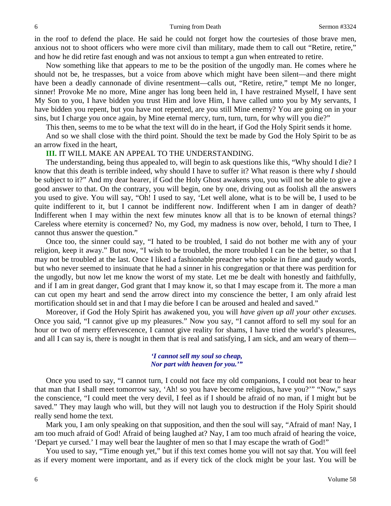in the roof to defend the place. He said he could not forget how the courtesies of those brave men, anxious not to shoot officers who were more civil than military, made them to call out "Retire, retire," and how he did retire fast enough and was not anxious to tempt a gun when entreated to retire.

Now something like that appears to me to be the position of the ungodly man. He comes where he should not be, he trespasses, but a voice from above which might have been silent—and there might have been a deadly cannonade of divine resentment—calls out, "Retire, retire," tempt Me no longer, sinner! Provoke Me no more, Mine anger has long been held in, I have restrained Myself, I have sent My Son to you, I have bidden you trust Him and love Him, I have called unto you by My servants, I have bidden you repent, but you have not repented, are you still Mine enemy? You are going on in your sins, but I charge you once again, by Mine eternal mercy, turn, turn, turn, for why will you die?"

This then, seems to me to be what the text will do in the heart, if God the Holy Spirit sends it home.

And so we shall close with the third point. Should the text be made by God the Holy Spirit to be as an arrow fixed in the heart,

#### **III.** IT WILL MAKE AN APPEAL TO THE UNDERSTANDING.

The understanding, being thus appealed to, will begin to ask questions like this, "Why should I die? I know that this death is terrible indeed, why should I have to suffer it? What reason is there why *I* should be subject to it?" And my dear hearer, if God the Holy Ghost awakens you, you will not be able to give a good answer to that. On the contrary, you will begin, one by one, driving out as foolish all the answers you used to give. You will say, "Oh! I used to say, 'Let well alone, what is to be will be, I used to be quite indifferent to it, but I cannot be indifferent now. Indifferent when I am in danger of death? Indifferent when I may within the next few minutes know all that is to be known of eternal things? Careless where eternity is concerned? No, my God, my madness is now over, behold, I turn to Thee, I cannot thus answer the question."

Once too, the sinner could say, "I hated to be troubled, I said do not bother me with any of your religion, keep it away." But now, "I wish to be troubled, the more troubled I can be the better, so that I may not be troubled at the last. Once I liked a fashionable preacher who spoke in fine and gaudy words, but who never seemed to insinuate that he had a sinner in his congregation or that there was perdition for the ungodly, but now let me know the worst of my state. Let me be dealt with honestly and faithfully, and if I am in great danger, God grant that I may know it, so that I may escape from it. The more a man can cut open my heart and send the arrow direct into my conscience the better, I am only afraid lest mortification should set in and that I may die before I can be aroused and healed and saved."

Moreover, if God the Holy Spirit has awakened you, you will *have given up all your other excuses.*  Once you said, "I cannot give up my pleasures." Now you say, "I cannot afford to sell my soul for an hour or two of merry effervescence, I cannot give reality for shams, I have tried the world's pleasures, and all I can say is, there is nought in them that is real and satisfying, I am sick, and am weary of them—

## *'I cannot sell my soul so cheap, Nor part with heaven for you.'"*

Once you used to say, "I cannot turn, I could not face my old companions, I could not bear to hear that man that I shall meet tomorrow say, 'Ah! so you have become religious, have you?'" "Now," says the conscience, "I could meet the very devil, I feel as if I should be afraid of no man, if I might but be saved." They may laugh who will, but they will not laugh you to destruction if the Holy Spirit should really send home the text.

Mark you, I am only speaking on that supposition, and then the soul will say, "Afraid of man! Nay, I am too much afraid of God! Afraid of being laughed at? Nay, I am too much afraid of hearing the voice, 'Depart ye cursed.' I may well bear the laughter of men so that I may escape the wrath of God!"

You used to say, "Time enough yet," but if this text comes home you will not say that. You will feel as if every moment were important, and as if every tick of the clock might be your last. You will be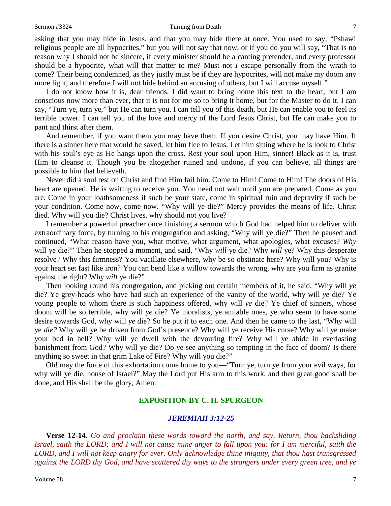#### Sermon #3324 Turning from Death 7

asking that you may hide in Jesus, and that you may hide there at once. You used to say, "Pshaw! religious people are all hypocrites," but you will not say that now, or if you do you will say, "That is no reason why I should not be sincere, if every minister should be a canting pretender, and every professor should be a hypocrite, what will that matter to me? Must not *I* escape personally from the wrath to come? Their being condemned, as they justly must be if they are hypocrites, will not make my doom any more light, and therefore I will not hide behind an accusing of others, but I will accuse myself."

I do not know how it is, dear friends. I did want to bring home this text to the heart, but I am conscious now more than ever, that it is not for me so to bring it home, but for the Master to do it. I can say, "Turn ye, turn ye," but He can turn you. I can tell you of this death, but He can enable you to feel its terrible power. I can tell you of the love and mercy of the Lord Jesus Christ, but He can make you to pant and thirst after them.

And remember, if you want them you may have them. If you desire Christ, you may have Him. If there is a sinner here that would be saved, let him flee to Jesus. Let him sitting where he is look to Christ with his soul's eye as He hangs upon the cross. Rest your soul upon Him, sinner! Black as it is, trust Him to cleanse it. Though you be altogether ruined and undone, if you can believe, all things are possible to him that believeth.

Never did a soul rest on Christ and find Him fail him. Come to Him! Come to Him! The doors of His heart are opened. He is waiting to receive you. You need not wait until you are prepared. Come as you are. Come in your loathsomeness if such be your state, come in spiritual ruin and depravity if such be your condition. Come now, come now. "Why will ye die?" Mercy provides the means of life. Christ died. Why will you die? Christ lives, why should not you live?

I remember a powerful preacher once finishing a sermon which God had helped him to deliver with extraordinary force, by turning to his congregation and asking, "Why will ye die?" Then he paused and continued, "What reason have you, what motive, what argument, what apologies, what excuses? *Why*  will ye die?" Then he stopped a moment, and said, "Why *will* ye die? Why *will* ye? Why this desperate resolve? Why this firmness? You vacillate elsewhere, why be so obstinate here? Why will you? Why is your heart set fast like iron? You can bend like a willow towards the wrong, why are you firm as granite against the right? Why *will* ye die?"

Then looking round his congregation, and picking out certain members of it, he said, "Why will *ye* die? Ye grey-heads who have had such an experience of the vanity of the world, why will *ye* die? Ye young people to whom there is such happiness offered, why will *ye* die? Ye chief of sinners, whose doom will be so terrible, why will *ye* die? Ye moralists, ye amiable ones, ye who seem to have some desire towards God, why will *ye* die? So he put it to each one. And then he came to the last, "Why will ye *die?* Why will ye be driven from God's presence? Why will ye receive His curse? Why will ye make your bed in hell? Why will ye dwell with the devouring fire? Why will ye abide in everlasting banishment from God? Why will ye die? Do ye see anything so tempting in the face of doom? Is there anything so sweet in that grim Lake of Fire? Why will you die?"

Oh! may the force of this exhortation come home to you—"Turn ye, turn ye from your evil ways, for why will ye die, house of Israel?" May the Lord put His arm to this work, and then great good shall be done, and His shall be the glory, Amen.

## **EXPOSITION BY C. H. SPURGEON**

## *JEREMIAH 3:12-25*

**Verse 12-14.** *Go and proclaim these words toward the north, and say, Return, thou backsliding Israel, saith the LORD; and I will not cause mine anger to fall upon you: for I am merciful, saith the LORD, and I will not keep angry for ever. Only acknowledge thine iniquity, that thou hast transgressed against the LORD thy God, and have scattered thy ways to the strangers under every green tree, and ye*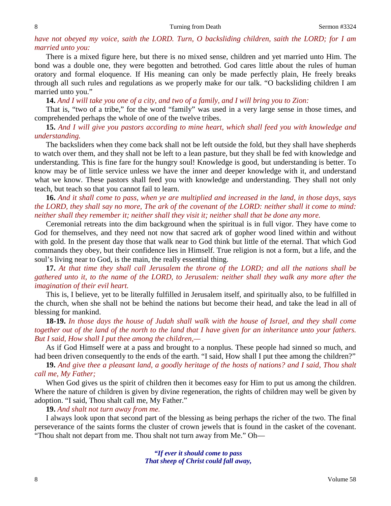*have not obeyed my voice, saith the LORD. Turn, O backsliding children, saith the LORD; for I am married unto you:*

There is a mixed figure here, but there is no mixed sense, children and yet married unto Him. The bond was a double one, they were begotten and betrothed. God cares little about the rules of human oratory and formal eloquence. If His meaning can only be made perfectly plain, He freely breaks through all such rules and regulations as we properly make for our talk. "O backsliding children I am married unto you."

**14.** *And I will take you one of a city, and two of a family, and I will bring you to Zion:*

That is, "two of a tribe," for the word "family" was used in a very large sense in those times, and comprehended perhaps the whole of one of the twelve tribes.

**15.** *And I will give you pastors according to mine heart, which shall feed you with knowledge and understanding.*

The backsliders when they come back shall not be left outside the fold, but they shall have shepherds to watch over them, and they shall not be left to a lean pasture, but they shall be fed with knowledge and understanding. This is fine fare for the hungry soul! Knowledge is good, but understanding is better. To know may be of little service unless we have the inner and deeper knowledge with it, and understand what we know. These pastors shall feed you with knowledge and understanding. They shall not only teach, but teach so that you cannot fail to learn.

**16.** *And it shall come to pass, when ye are multiplied and increased in the land, in those days, says the LORD, they shall say no more, The ark of the covenant of the LORD: neither shall it come to mind: neither shall they remember it; neither shall they visit it; neither shall that be done any more.*

Ceremonial retreats into the dim background when the spiritual is in full vigor. They have come to God for themselves, and they need not now that sacred ark of gopher wood lined within and without with gold. In the present day those that walk near to God think but little of the eternal. That which God commands they obey, but their confidence lies in Himself. True religion is not a form, but a life, and the soul's living near to God, is the main, the really essential thing.

**17.** *At that time they shall call Jerusalem the throne of the LORD; and all the nations shall be gathered unto it, to the name of the LORD, to Jerusalem: neither shall they walk any more after the imagination of their evil heart.*

This is, I believe, yet to be literally fulfilled in Jerusalem itself, and spiritually also, to be fulfilled in the church, when she shall not be behind the nations but become their head, and take the lead in all of blessing for mankind.

**18-19.** *In those days the house of Judah shall walk with the house of Israel, and they shall come together out of the land of the north to the land that I have given for an inheritance unto your fathers. But I said, How shall I put thee among the children,—*

As if God Himself were at a pass and brought to a nonplus. These people had sinned so much, and had been driven consequently to the ends of the earth. "I said, How shall I put thee among the children?"

**19.** *And give thee a pleasant land, a goodly heritage of the hosts of nations? and I said, Thou shalt call me, My Father;*

When God gives us the spirit of children then it becomes easy for Him to put us among the children. Where the nature of children is given by divine regeneration, the rights of children may well be given by adoption. "I said, Thou shalt call me, My Father."

**19.** *And shalt not turn away from me.*

I always look upon that second part of the blessing as being perhaps the richer of the two. The final perseverance of the saints forms the cluster of crown jewels that is found in the casket of the covenant. "Thou shalt not depart from me. Thou shalt not turn away from Me." Oh—

> *"If ever it should come to pass That sheep of Christ could fall away,*